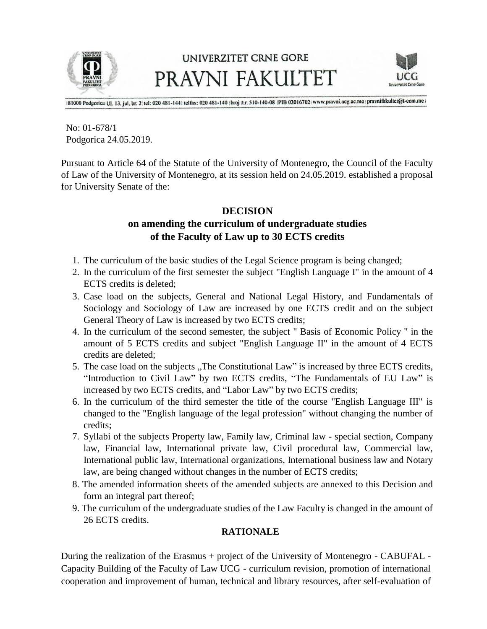

### UNIVERZITET CRNE GORE PRAVNI FAKULTET



[81000 Podgorica Ul. 13. jul, br. 2: tel: 020 481-144; telfax: 020 481-140 [broj ž.r. 510-140-08 [PIB 02016702] www.pravni.ucg.ac.me | pravnifakultet@t-com.me |

No: 01-678/1 Podgorica 24.05.2019.

Pursuant to Article 64 of the Statute of the University of Montenegro, the Council of the Faculty of Law of the University of Montenegro, at its session held on 24.05.2019. established a proposal for University Senate of the:

#### **DECISION**

### **on amending the curriculum of undergraduate studies of the Faculty of Law up to 30 ECTS credits**

- 1. The curriculum of the basic studies of the Legal Science program is being changed;
- 2. In the curriculum of the first semester the subject "English Language I" in the amount of 4 ECTS credits is deleted;
- 3. Case load on the subjects, General and National Legal History, and Fundamentals of Sociology and Sociology of Law are increased by one ECTS credit and on the subject General Theory of Law is increased by two ECTS credits;
- 4. In the curriculum of the second semester, the subject " Basis of Economic Policy " in the amount of 5 ECTS credits and subject "English Language II" in the amount of 4 ECTS credits are deleted;
- 5. The case load on the subjects "The Constitutional Law" is increased by three ECTS credits, "Introduction to Civil Law" by two ECTS credits, "The Fundamentals of EU Law" is increased by two ECTS credits, and "Labor Law" by two ECTS credits;
- 6. In the curriculum of the third semester the title of the course "English Language III" is changed to the "English language of the legal profession" without changing the number of credits;
- 7. Syllabi of the subjects Property law, Family law, Criminal law special section, Company law, Financial law, International private law, Civil procedural law, Commercial law, International public law, International organizations, International business law and Notary law, are being changed without changes in the number of ECTS credits;
- 8. The amended information sheets of the amended subjects are annexed to this Decision and form an integral part thereof;
- 9. The curriculum of the undergraduate studies of the Law Faculty is changed in the amount of 26 ECTS credits.

#### **RATIONALE**

During the realization of the Erasmus + project of the University of Montenegro - CABUFAL - Capacity Building of the Faculty of Law UCG - curriculum revision, promotion of international cooperation and improvement of human, technical and library resources, after self-evaluation of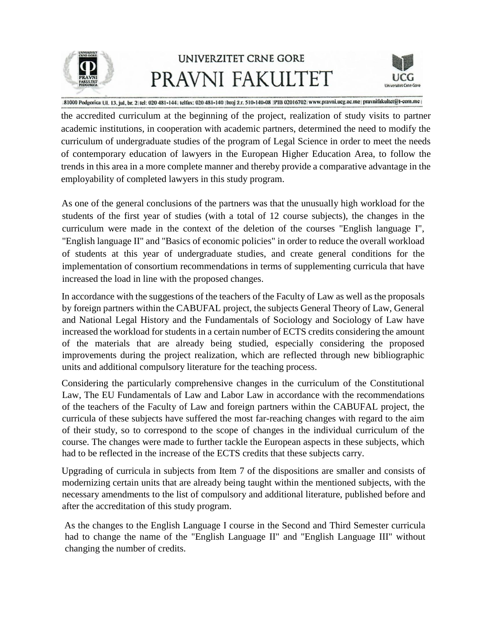

# UNIVERZITET CRNE GORE PRAVNI FAKULTET



81000 Podgorica Ul. 13. jul, br. 2 tel: 020 481-144; telfax: 020 481-140 [broj 2.r. 510-140-08 [PIB 02016702] www.pravni.ucg.ac.me | pravnifakultet@t-com.me |

the accredited curriculum at the beginning of the project, realization of study visits to partner academic institutions, in cooperation with academic partners, determined the need to modify the curriculum of undergraduate studies of the program of Legal Science in order to meet the needs of contemporary education of lawyers in the European Higher Education Area, to follow the trends in this area in a more complete manner and thereby provide a comparative advantage in the employability of completed lawyers in this study program.

As one of the general conclusions of the partners was that the unusually high workload for the students of the first year of studies (with a total of 12 course subjects), the changes in the curriculum were made in the context of the deletion of the courses "English language I", "English language II" and "Basics of economic policies" in order to reduce the overall workload of students at this year of undergraduate studies, and create general conditions for the implementation of consortium recommendations in terms of supplementing curricula that have increased the load in line with the proposed changes.

In accordance with the suggestions of the teachers of the Faculty of Law as well as the proposals by foreign partners within the CABUFAL project, the subjects General Theory of Law, General and National Legal History and the Fundamentals of Sociology and Sociology of Law have increased the workload for students in a certain number of ECTS credits considering the amount of the materials that are already being studied, especially considering the proposed improvements during the project realization, which are reflected through new bibliographic units and additional compulsory literature for the teaching process.

Considering the particularly comprehensive changes in the curriculum of the Constitutional Law, The EU Fundamentals of Law and Labor Law in accordance with the recommendations of the teachers of the Faculty of Law and foreign partners within the CABUFAL project, the curricula of these subjects have suffered the most far-reaching changes with regard to the aim of their study, so to correspond to the scope of changes in the individual curriculum of the course. The changes were made to further tackle the European aspects in these subjects, which had to be reflected in the increase of the ECTS credits that these subjects carry.

Upgrading of curricula in subjects from Item 7 of the dispositions are smaller and consists of modernizing certain units that are already being taught within the mentioned subjects, with the necessary amendments to the list of compulsory and additional literature, published before and after the accreditation of this study program.

As the changes to the English Language I course in the Second and Third Semester curricula had to change the name of the "English Language II" and "English Language III" without changing the number of credits.